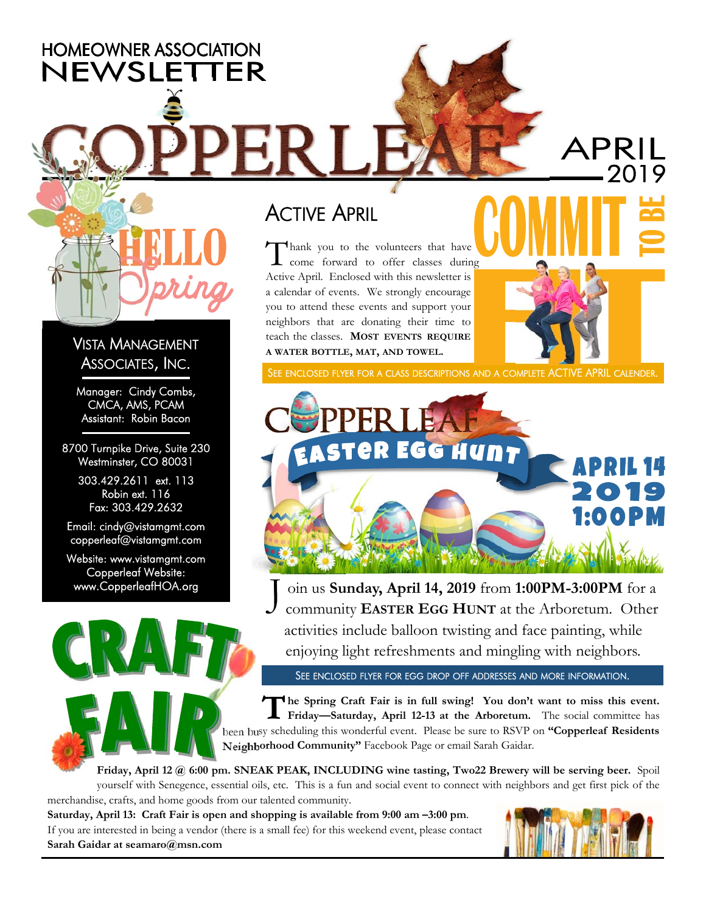**HOMEOWNER ASSOCIATION** NEWSLETTER

#### VISTA MANAGEMENT ASSOCIATES, INC.

Manager: Cindy Combs, CMCA, AMS, PCAM Assistant: Robin Bacon

8700 Turnpike Drive, Suite 230 Westminster, CO 80031

> 303.429.2611 ext. 113 Robin ext. 116 Fax: 303.429.2632

Email: cindy@vistamgmt.com copperleaf@vistamgmt.com

Website: www.vistamgmt.com Copperleaf Website:

### **ACTIVE APRIL**

 $\bigwedge$  hank you to the volunteers that have **L** come forward to offer classes during Active April. Enclosed with this newsletter is a calendar of events. We strongly encourage you to attend these events and support your neighbors that are donating their time to teach the classes. **MOST EVENTS REQUIRE A WATER BOTTLE, MAT, AND TOWEL.** 

SEE ENCLOSED FLYER FOR A CLASS DESCRIPTIONS AND A COMPLETE ACTIVE APRIL CALENDER.



www.CopperleafHOA.org J oin us **Sunday, April 14, 2019** from 1:00PM-3:00PM for a community **EASTER EGG HUNT** at the Arboretum. Other activities include balloon twisting and face painting, while enjoying light refreshments and mingling with neighbors.

SEE ENCLOSED FLYER FOR EGG DROP OFF ADDRESSES AND MORE INFORMATION.

**T he Spring Craft Fair is in full swing! You don't want to miss this event. Friday—Saturday, April 12-13 at the Arboretum.** The social committee has been busy scheduling this wonderful event. Please be sure to RSVP on **"Copperleaf Residents Neighborhood Community"** Facebook Page or email Sarah Gaidar.

**Friday, April 12 @ 6:00 pm. SNEAK PEAK, INCLUDING wine tasting, Two22 Brewery will be serving beer.** Spoil yourself with Senegence, essential oils, etc. This is a fun and social event to connect with neighbors and get first pick of the merchandise, crafts, and home goods from our talented community.

**Saturday, April 13: Craft Fair is open and shopping is available from 9:00 am –3:00 pm**. If you are interested in being a vendor (there is a small fee) for this weekend event, please contact **Sarah Gaidar at seamaro@msn.com** 

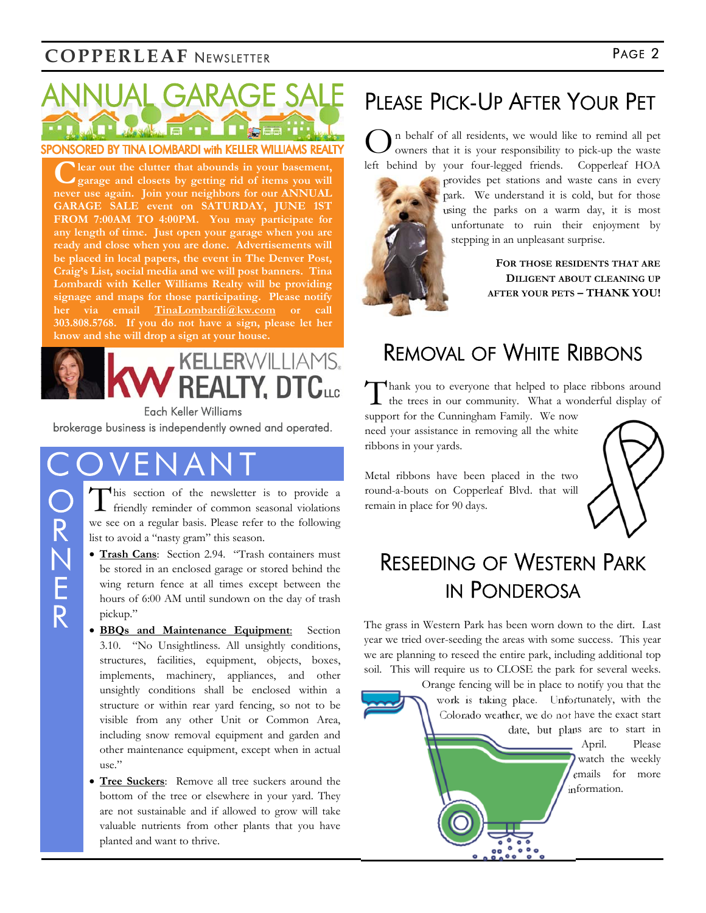#### **COPPERLEAF** NEWSLETTER **PAGE 2**



C lear out the clutter that abounds in your basement, garage and closets by getting rid of items you will **never use again. Join your neighbors for our ANNUAL GARAGE SALE event on SATURDAY, JUNE 1ST FROM 7:00AM TO 4:00PM. You may participate for any length of time. Just open your garage when you are ready and close when you are done. Advertisements will be placed in local papers, the event in The Denver Post, Craig's List, social media and we will post banners. Tina Lombardi with Keller Williams Realty will be providing signage and maps for those participating. Please notify her via email TinaLombardi@kw.com or call 303.808.5768. If you do not have a sign, please let her know and she will drop a sign at your house.** 



Each Keller Williams

brokerage business is independently owned and operated.

This section of the newsletter is to provide a friendly reminder of common seasonal violations we see on a regular basis. Please refer to the following list to avoid a "nasty gram" this season.

- **Trash Cans**: Section 2.94. "Trash containers must be stored in an enclosed garage or stored behind the wing return fence at all times except between the hours of 6:00 AM until sundown on the day of trash pickup."
- **BBQs and Maintenance Equipment**: Section 3.10. "No Unsightliness. All unsightly conditions, structures, facilities, equipment, objects, boxes, implements, machinery, appliances, and other unsightly conditions shall be enclosed within a structure or within rear yard fencing, so not to be visible from any other Unit or Common Area, including snow removal equipment and garden and other maintenance equipment, except when in actual use."
- **Tree Suckers**: Remove all tree suckers around the bottom of the tree or elsewhere in your yard. They are not sustainable and if allowed to grow will take valuable nutrients from other plants that you have planted and want to thrive.

### PLEASE PICK-UP AFTER YOUR PET

O n behalf of all residents, we would like to remind all pet owners that it is your responsibility to pick-up the waste left behind by your four-legged friends. Copperleaf HOA



provides pet stations and waste cans in every park. We understand it is cold, but for those using the parks on a warm day, it is most unfortunate to ruin their enjoyment by stepping in an unpleasant surprise.

> **FOR THOSE RESIDENTS THAT ARE DILIGENT ABOUT CLEANING UP AFTER YOUR PETS – THANK YOU!**

#### REMOVAL OF WHITE RIBBONS

Thank you to everyone that helped to place ribbons around the trees in our community. What a wonderful display of

support for the Cunningham Family. We now need your assistance in removing all the white ribbons in your yards.

Metal ribbons have been placed in the two round-a-bouts on Copperleaf Blvd. that will remain in place for 90 days.



#### RESEEDING OF WESTERN PARK IN PONDEROSA

The grass in Western Park has been worn down to the dirt. Last year we tried over-seeding the areas with some success. This year we are planning to reseed the entire park, including additional top soil. This will require us to CLOSE the park for several weeks.

Orange fencing will be in place to notify you that the work is taking place. Unfortunately, with the Colorado weather, we do not have the exact start date, but plans are to start in April. Please watch the weekly emails for more information.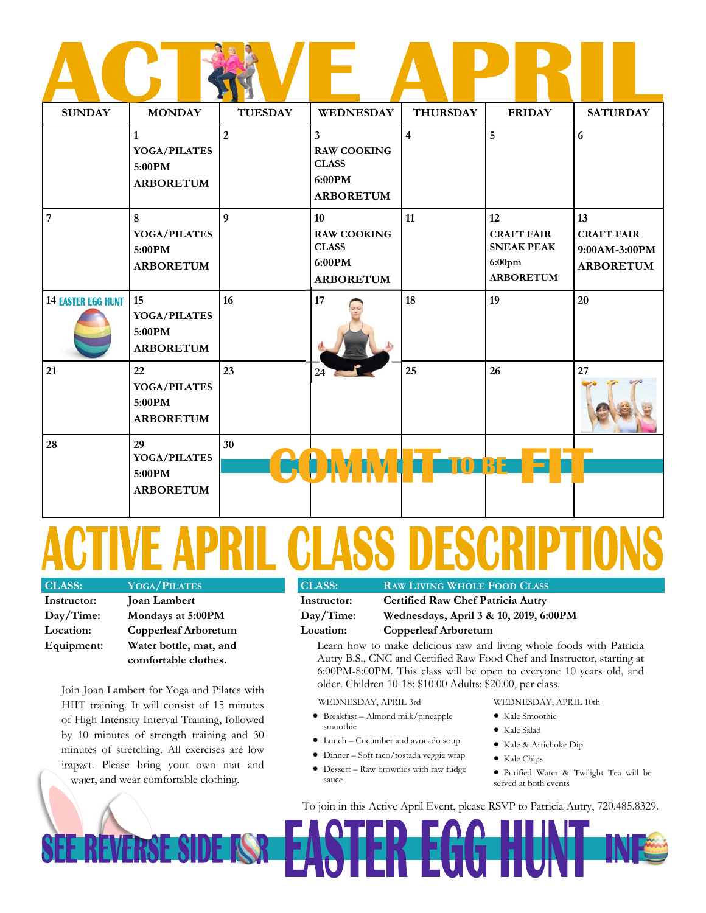| <b>SUNDAY</b>             | <b>MONDAY</b>                                              | <b>TUESDAY</b> | <b>WEDNESDAY</b>                                                                            | <b>THURSDAY</b> | <b>FRIDAY</b>                                                                 | <b>SATURDAY</b>                                              |
|---------------------------|------------------------------------------------------------|----------------|---------------------------------------------------------------------------------------------|-----------------|-------------------------------------------------------------------------------|--------------------------------------------------------------|
|                           | $\mathbf{1}$<br>YOGA/PILATES<br>5:00PM<br><b>ARBORETUM</b> | $\overline{2}$ | $\overline{\mathbf{3}}$<br><b>RAW COOKING</b><br><b>CLASS</b><br>6:00PM<br><b>ARBORETUM</b> | $\overline{4}$  | $\overline{5}$                                                                | 6                                                            |
| $\overline{7}$            | 8<br>YOGA/PILATES<br>5:00PM<br><b>ARBORETUM</b>            | 9              | 10<br><b>RAW COOKING</b><br><b>CLASS</b><br>6:00PM<br><b>ARBORETUM</b>                      | 11              | 12<br><b>CRAFT FAIR</b><br><b>SNEAK PEAK</b><br>$6:00$ pm<br><b>ARBORETUM</b> | 13<br><b>CRAFT FAIR</b><br>9:00AM-3:00PM<br><b>ARBORETUM</b> |
| <b>14 EASTER EGG HUNT</b> | 15<br>YOGA/PILATES<br>5:00PM<br><b>ARBORETUM</b>           | 16             | 17                                                                                          | 18              | 19                                                                            | 20                                                           |
| 21                        | 22<br><b>YOGA/PILATES</b><br>5:00PM<br><b>ARBORETUM</b>    | 23             | 24                                                                                          | 25              | 26                                                                            | 27                                                           |
| 28                        | 29<br>YOGA/PILATES<br>5:00PM<br><b>ARBORETUM</b>           | 30             |                                                                                             |                 |                                                                               |                                                              |

# TIVE APRIL CLASS DESCRIPT

| <b>CLASS:</b> | <b>YOGA/PILATES</b>    |  |  |
|---------------|------------------------|--|--|
| Instructor:   | <b>Joan Lambert</b>    |  |  |
| Day/Time:     | Mondays at 5:00PM      |  |  |
| Location:     | Copperleaf Arboretum   |  |  |
| Equipment:    | Water bottle, mat, and |  |  |
|               | comfortable clothes.   |  |  |

Join Joan Lambert for Yoga and Pilates with HIIT training. It will consist of 15 minutes of High Intensity Interval Training, followed by 10 minutes of strength training and 30 minutes of stretching. All exercises are low impact. Please bring your own mat and water, and wear comfortable clothing.

| <b>CLASS:</b> | <b>RAW LIVING WHOLE FOOD CLASS</b>                                                                                 |  |  |
|---------------|--------------------------------------------------------------------------------------------------------------------|--|--|
| Instructor:   | <b>Certified Raw Chef Patricia Autry</b>                                                                           |  |  |
| Day/Time:     | Wednesdays, April 3 & 10, 2019, 6:00PM                                                                             |  |  |
| Location:     | Copperleaf Arboretum                                                                                               |  |  |
|               | $\mathbf{r}$ and $\mathbf{r}$ and $\mathbf{r}$ and $\mathbf{r}$ and $\mathbf{r}$ and $\mathbf{r}$ and $\mathbf{r}$ |  |  |

Learn how to make delicious raw and living whole foods with Patricia Autry B.S., CNC and Certified Raw Food Chef and Instructor, starting at 6:00PM-8:00PM. This class will be open to everyone 10 years old, and older. Children 10-18: \$10.00 Adults: \$20.00, per class.

WEDNESDAY, APRIL 3rd

- Breakfast Almond milk/pineapple smoothie
- Lunch Cucumber and avocado soup
- Dinner Soft taco/tostada veggie wrap
- Dessert Raw brownies with raw fudge sauce
- WEDNESDAY, APRIL 10th
- Kale Smoothie
- Kale Salad
- Kale & Artichoke Dip
- Kale Chips
- Purified Water & Twilight Tea will be served at both events

To join in this Active April Event, please RSVP to Patricia Autry, 720.485.8329.